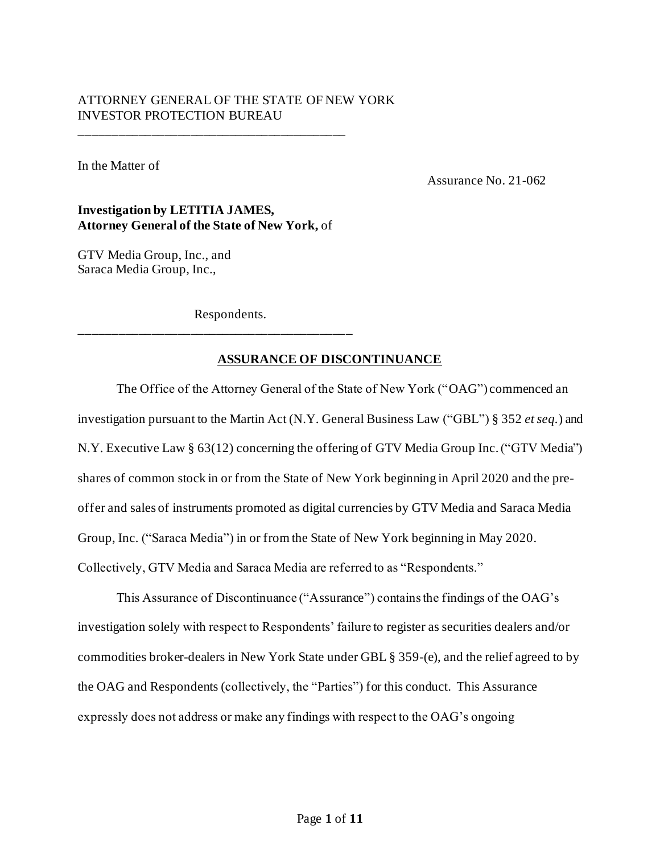# ATTORNEY GENERAL OF THE STATE OF NEW YORK INVESTOR PROTECTION BUREAU

In the Matter of

Assurance No. 21-062

# **Investigation by LETITIA JAMES, Attorney General of the State of New York,** of

\_\_\_\_\_\_\_\_\_\_\_\_\_\_\_\_\_\_\_\_\_\_\_\_\_\_\_\_\_\_\_\_\_\_\_\_\_\_\_\_\_

GTV Media Group, Inc., and Saraca Media Group, Inc.,

Respondents.

\_\_\_\_\_\_\_\_\_\_\_\_\_\_\_\_\_\_\_\_\_\_\_\_\_\_\_\_\_\_\_\_\_\_\_\_\_\_\_\_\_\_

# **ASSURANCE OF DISCONTINUANCE**

The Office of the Attorney General of the State of New York ("OAG") commenced an investigation pursuant to the Martin Act (N.Y. General Business Law ("GBL") § 352 *et seq.*) and N.Y. Executive Law § 63(12) concerning the offering of GTV Media Group Inc. ("GTV Media") shares of common stock in or from the State of New York beginning in April 2020 and the preoffer and sales of instruments promoted as digital currencies by GTV Media and Saraca Media Group, Inc. ("Saraca Media") in or from the State of New York beginning in May 2020. Collectively, GTV Media and Saraca Media are referred to as "Respondents."

This Assurance of Discontinuance ("Assurance") contains the findings of the OAG's investigation solely with respect to Respondents' failure to register as securities dealers and/or commodities broker-dealers in New York State under GBL § 359-(e), and the relief agreed to by the OAG and Respondents (collectively, the "Parties") for this conduct. This Assurance expressly does not address or make any findings with respect to the OAG's ongoing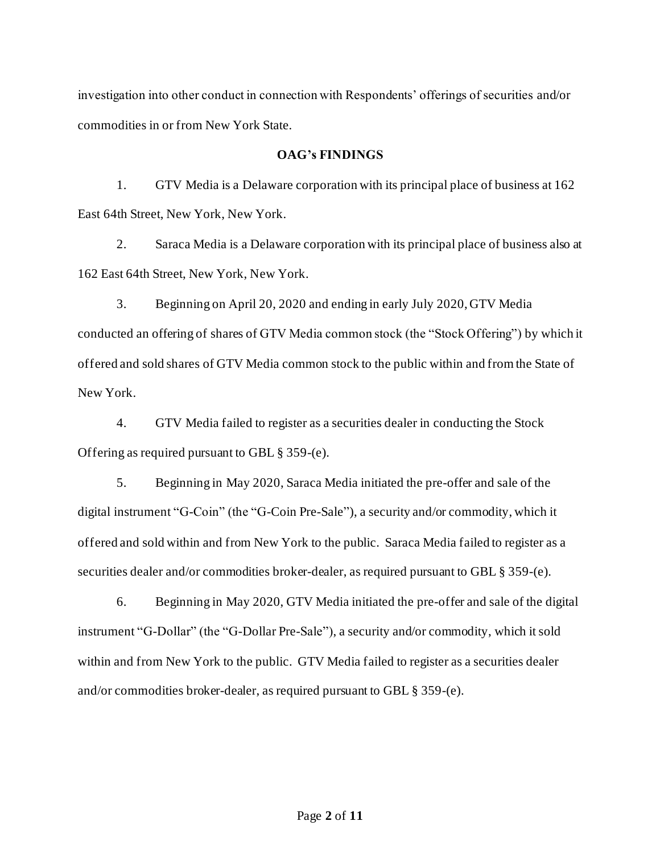investigation into other conduct in connection with Respondents' offerings of securities and/or commodities in or from New York State.

### **OAG's FINDINGS**

1. GTV Media is a Delaware corporation with its principal place of business at 162 East 64th Street, New York, New York.

2. Saraca Media is a Delaware corporation with its principal place of business also at 162 East 64th Street, New York, New York.

3. Beginning on April 20, 2020 and ending in early July 2020, GTV Media conducted an offering of shares of GTV Media common stock (the "Stock Offering") by which it offered and sold shares of GTV Media common stock to the public within and from the State of New York.

4. GTV Media failed to register as a securities dealer in conducting the Stock Offering as required pursuant to GBL § 359-(e).

5. Beginning in May 2020, Saraca Media initiated the pre-offer and sale of the digital instrument "G-Coin" (the "G-Coin Pre-Sale"), a security and/or commodity, which it offered and sold within and from New York to the public. Saraca Media failed to register as a securities dealer and/or commodities broker-dealer, as required pursuant to GBL § 359-(e).

6. Beginning in May 2020, GTV Media initiated the pre-offer and sale of the digital instrument "G-Dollar" (the "G-Dollar Pre-Sale"), a security and/or commodity, which it sold within and from New York to the public. GTV Media failed to register as a securities dealer and/or commodities broker-dealer, as required pursuant to GBL § 359-(e).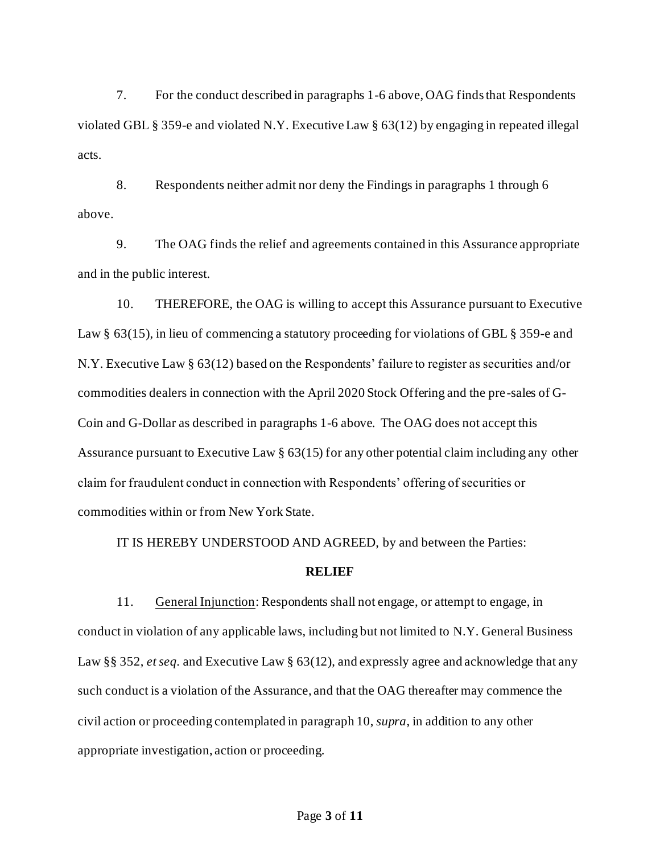7. For the conduct described in paragraphs 1-6 above, OAG finds that Respondents violated GBL § 359-e and violated N.Y. Executive Law § 63(12) by engaging in repeated illegal acts.

8. Respondents neither admit nor deny the Findings in paragraphs 1 through 6 above.

9. The OAG finds the relief and agreements contained in this Assurance appropriate and in the public interest.

10. THEREFORE, the OAG is willing to accept this Assurance pursuant to Executive Law § 63(15), in lieu of commencing a statutory proceeding for violations of GBL § 359-e and N.Y. Executive Law § 63(12) based on the Respondents' failure to register as securities and/or commodities dealers in connection with the April 2020 Stock Offering and the pre-sales of G-Coin and G-Dollar as described in paragraphs 1-6 above. The OAG does not accept this Assurance pursuant to Executive Law § 63(15) for any other potential claim including any other claim for fraudulent conduct in connection with Respondents' offering of securities or commodities within or from New York State.

IT IS HEREBY UNDERSTOOD AND AGREED, by and between the Parties:

#### **RELIEF**

11. General Injunction: Respondents shall not engage, or attempt to engage, in conduct in violation of any applicable laws, including but not limited to N.Y. General Business Law §§ 352, *et seq.* and Executive Law § 63(12), and expressly agree and acknowledge that any such conduct is a violation of the Assurance, and that the OAG thereafter may commence the civil action or proceeding contemplated in paragraph 10, *supra*, in addition to any other appropriate investigation, action or proceeding.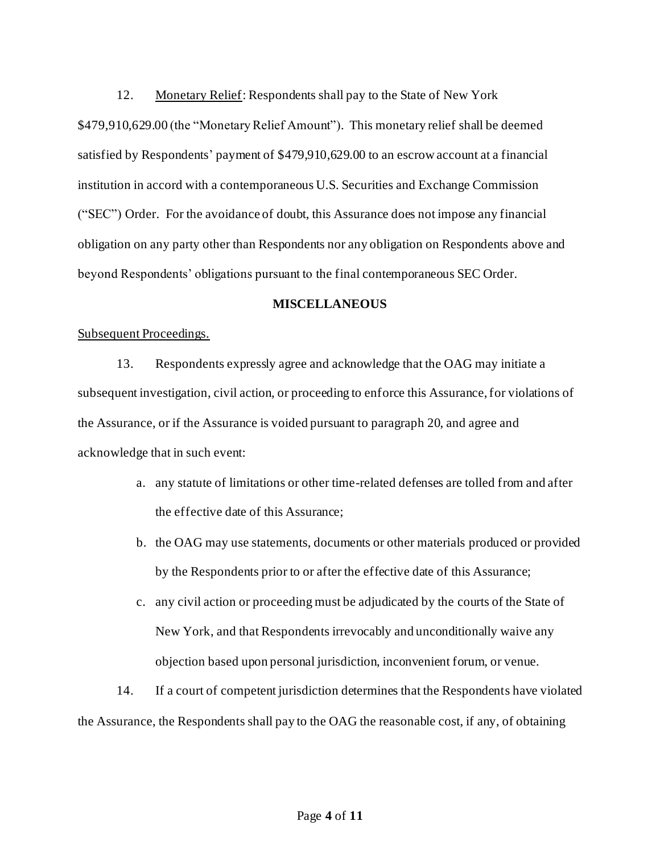12. Monetary Relief: Respondents shall pay to the State of New York \$479,910,629.00 (the "Monetary Relief Amount"). This monetary relief shall be deemed satisfied by Respondents' payment of \$479,910,629.00 to an escrow account at a financial institution in accord with a contemporaneous U.S. Securities and Exchange Commission ("SEC") Order. For the avoidance of doubt, this Assurance does not impose any financial obligation on any party other than Respondents nor any obligation on Respondents above and beyond Respondents' obligations pursuant to the final contemporaneous SEC Order.

# **MISCELLANEOUS**

#### Subsequent Proceedings.

13. Respondents expressly agree and acknowledge that the OAG may initiate a subsequent investigation, civil action, or proceeding to enforce this Assurance, for violations of the Assurance, or if the Assurance is voided pursuant to paragraph 20, and agree and acknowledge that in such event:

- a. any statute of limitations or other time-related defenses are tolled from and after the effective date of this Assurance;
- b. the OAG may use statements, documents or other materials produced or provided by the Respondents prior to or after the effective date of this Assurance;
- c. any civil action or proceeding must be adjudicated by the courts of the State of New York, and that Respondents irrevocably and unconditionally waive any objection based upon personal jurisdiction, inconvenient forum, or venue.

14. If a court of competent jurisdiction determines that the Respondents have violated the Assurance, the Respondents shall pay to the OAG the reasonable cost, if any, of obtaining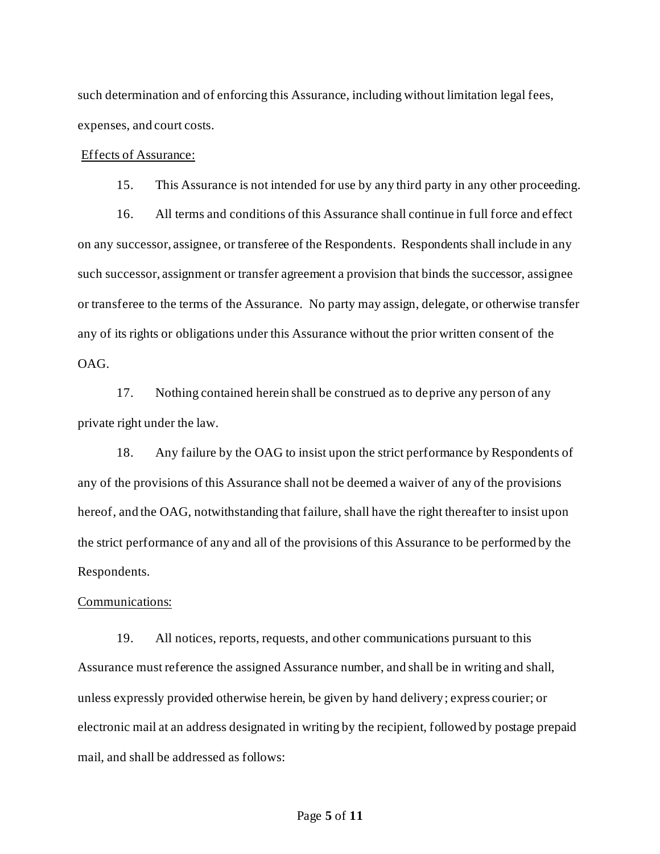such determination and of enforcing this Assurance, including without limitation legal fees, expenses, and court costs.

#### Effects of Assurance:

15. This Assurance is not intended for use by any third party in any other proceeding.

16. All terms and conditions of this Assurance shall continue in full force and effect on any successor, assignee, or transferee of the Respondents. Respondents shall include in any such successor, assignment or transfer agreement a provision that binds the successor, assignee or transferee to the terms of the Assurance. No party may assign, delegate, or otherwise transfer any of its rights or obligations under this Assurance without the prior written consent of the OAG.

17. Nothing contained herein shall be construed as to deprive any person of any private right under the law.

18. Any failure by the OAG to insist upon the strict performance by Respondents of any of the provisions of this Assurance shall not be deemed a waiver of any of the provisions hereof, and the OAG, notwithstanding that failure, shall have the right thereafter to insist upon the strict performance of any and all of the provisions of this Assurance to be performed by the Respondents.

#### Communications:

19. All notices, reports, requests, and other communications pursuant to this Assurance must reference the assigned Assurance number, and shall be in writing and shall, unless expressly provided otherwise herein, be given by hand delivery; express courier; or electronic mail at an address designated in writing by the recipient, followed by postage prepaid mail, and shall be addressed as follows: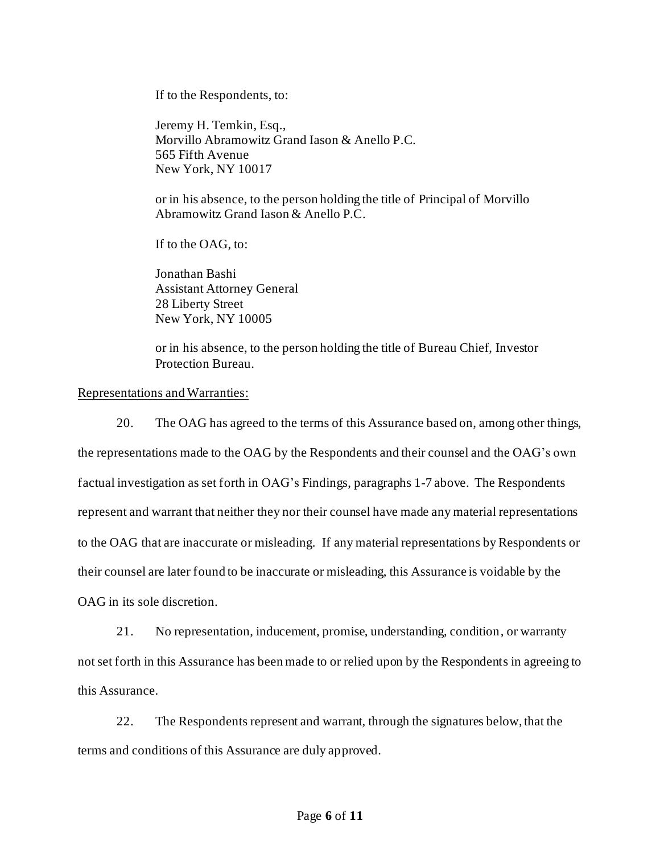If to the Respondents, to:

Jeremy H. Temkin, Esq., Morvillo Abramowitz Grand Iason & Anello P.C. 565 Fifth Avenue New York, NY 10017

or in his absence, to the person holding the title of Principal of Morvillo Abramowitz Grand Iason & Anello P.C.

If to the OAG, to:

Jonathan Bashi Assistant Attorney General 28 Liberty Street New York, NY 10005

or in his absence, to the person holding the title of Bureau Chief, Investor Protection Bureau.

### Representations and Warranties:

20. The OAG has agreed to the terms of this Assurance based on, among other things, the representations made to the OAG by the Respondents and their counsel and the OAG's own factual investigation as set forth in OAG's Findings, paragraphs 1-7 above. The Respondents represent and warrant that neither they nor their counsel have made any material representations to the OAG that are inaccurate or misleading. If any material representations by Respondents or their counsel are later found to be inaccurate or misleading, this Assurance is voidable by the OAG in its sole discretion.

21. No representation, inducement, promise, understanding, condition, or warranty not set forth in this Assurance has been made to or relied upon by the Respondents in agreeing to this Assurance.

22. The Respondents represent and warrant, through the signatures below, that the terms and conditions of this Assurance are duly approved.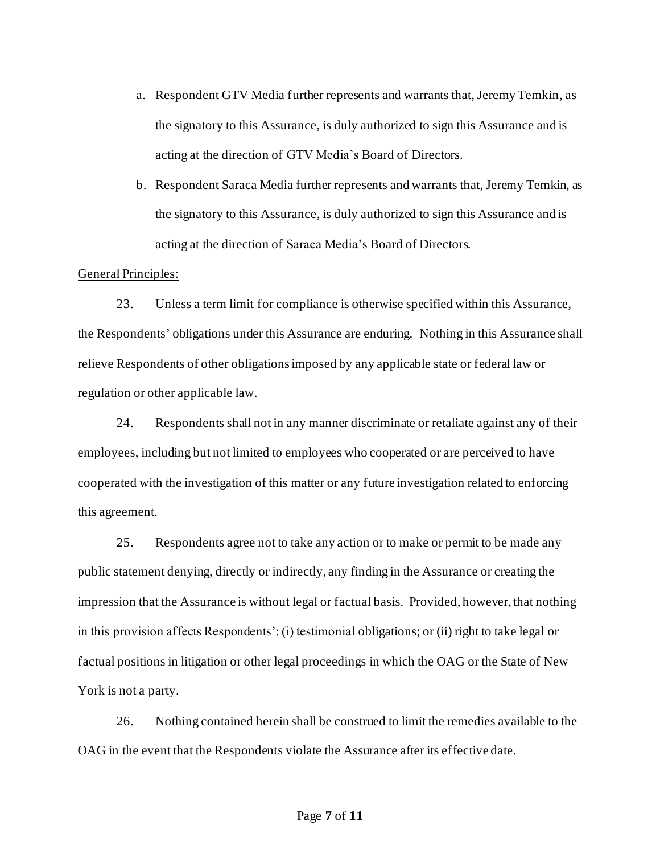- a. Respondent GTV Media further represents and warrants that, Jeremy Temkin, as the signatory to this Assurance, is duly authorized to sign this Assurance and is acting at the direction of GTV Media's Board of Directors.
- b. Respondent Saraca Media further represents and warrants that, Jeremy Temkin, as the signatory to this Assurance, is duly authorized to sign this Assurance and is acting at the direction of Saraca Media's Board of Directors.

### General Principles:

23. Unless a term limit for compliance is otherwise specified within this Assurance, the Respondents' obligations under this Assurance are enduring. Nothing in this Assurance shall relieve Respondents of other obligations imposed by any applicable state or federal law or regulation or other applicable law.

24. Respondents shall not in any manner discriminate or retaliate against any of their employees, including but not limited to employees who cooperated or are perceived to have cooperated with the investigation of this matter or any future investigation related to enforcing this agreement.

25. Respondents agree not to take any action or to make or permit to be made any public statement denying, directly or indirectly, any finding in the Assurance or creating the impression that the Assurance is without legal or factual basis. Provided, however, that nothing in this provision affects Respondents': (i) testimonial obligations; or (ii) right to take legal or factual positions in litigation or other legal proceedings in which the OAG or the State of New York is not a party.

26. Nothing contained herein shall be construed to limit the remedies available to the OAG in the event that the Respondents violate the Assurance after its effective date.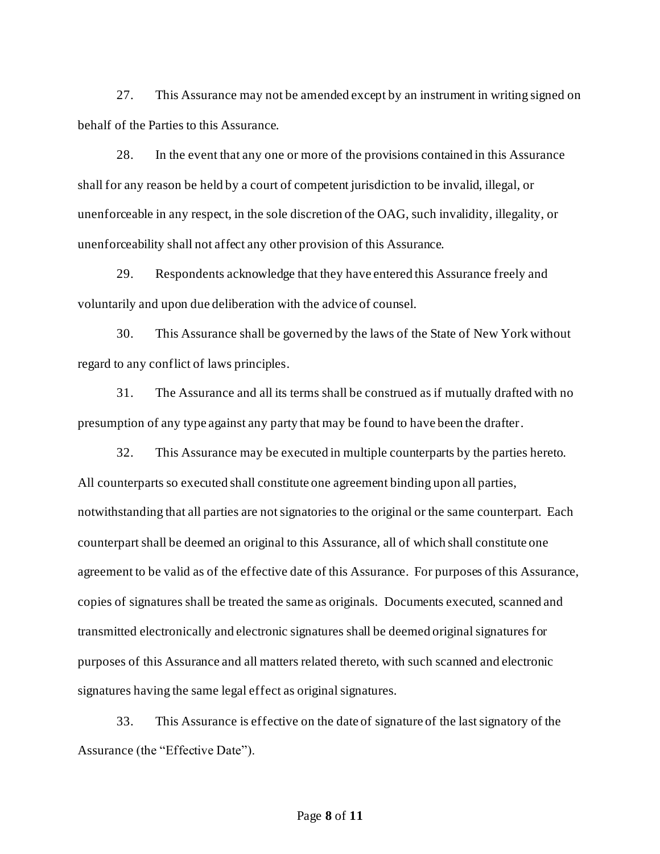27. This Assurance may not be amended except by an instrument in writing signed on behalf of the Parties to this Assurance.

28. In the event that any one or more of the provisions contained in this Assurance shall for any reason be held by a court of competent jurisdiction to be invalid, illegal, or unenforceable in any respect, in the sole discretion of the OAG, such invalidity, illegality, or unenforceability shall not affect any other provision of this Assurance.

29. Respondents acknowledge that they have entered this Assurance freely and voluntarily and upon due deliberation with the advice of counsel.

30. This Assurance shall be governed by the laws of the State of New York without regard to any conflict of laws principles.

31. The Assurance and all its terms shall be construed as if mutually drafted with no presumption of any type against any party that may be found to have been the drafter.

32. This Assurance may be executed in multiple counterparts by the parties hereto. All counterparts so executed shall constitute one agreement binding upon all parties, notwithstanding that all parties are not signatories to the original or the same counterpart. Each counterpart shall be deemed an original to this Assurance, all of which shall constitute one agreement to be valid as of the effective date of this Assurance. For purposes of this Assurance, copies of signatures shall be treated the same as originals. Documents executed, scanned and transmitted electronically and electronic signatures shall be deemed original signatures for purposes of this Assurance and all matters related thereto, with such scanned and electronic signatures having the same legal effect as original signatures.

33. This Assurance is effective on the date of signature of the last signatory of the Assurance (the "Effective Date").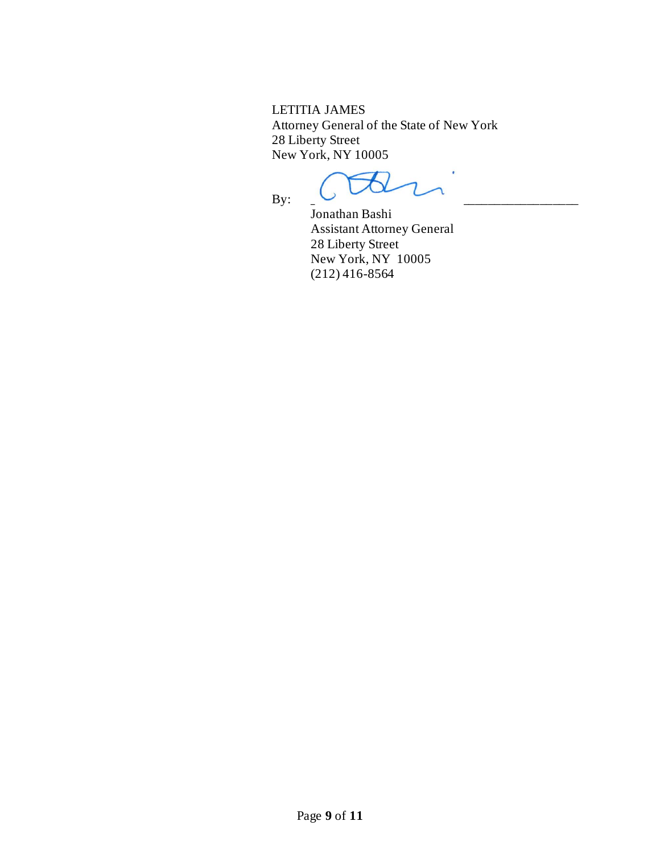LETITIA JAMES Attorney General of the State of New York 28 Liberty Street New York, NY 10005

By:

Jonathan Bashi Assistant Attorney General 28 Liberty Street New York, NY 10005 (212) 416-8564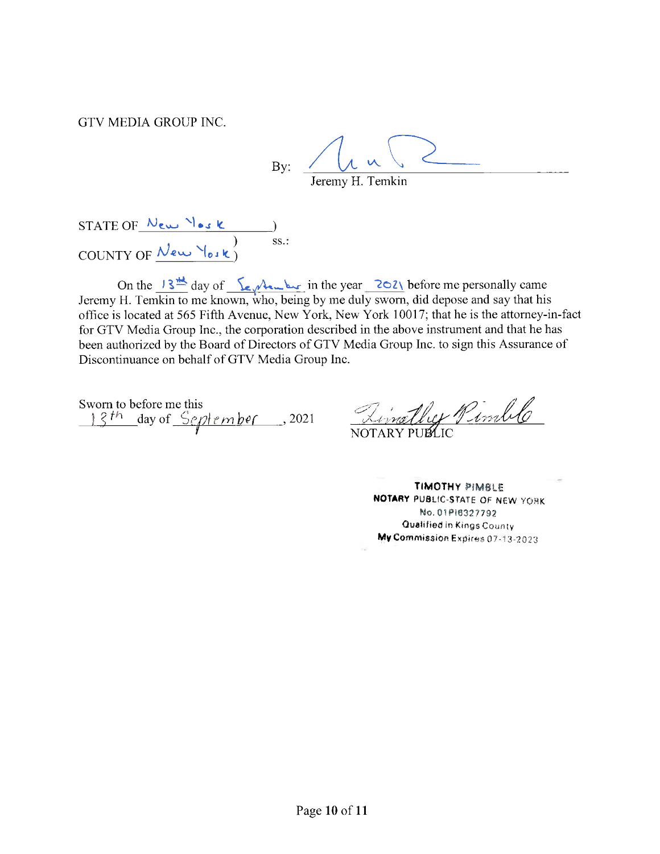GTV MEDIA GROUP INC.

 $By:$ Jeremy H. Temkin

STATE OF  $\frac{N_{ew}N_{es}}{N_{e}}$ <br>COUNTY OF  $\frac{N_{ew}}{N_{e}}$  $ss.$ :

On the  $13 \frac{11}{10}$  day of  $\frac{1}{2}$   $\sqrt{12}$  in the year  $\frac{202}{10}$  before me personally came Jeremy H. Temkin to me known, who, being by me duly sworn, did depose and say that his office is located at 565 Fifth Avenue, New York, New York 10017; that he is the attorney-in-fact for GTV Media Group Inc., the corporation described in the above instrument and that he has been authorized by the Board of Directors of GTV Media Group Inc. to sign this Assurance of Discontinuance on behalf of GTV Media Group Inc.

13th day of September, 2021 Linally Pinle<br>13th day of September, 2021 NOTARY PUBLIC Sworn to before me this

**TIMOTHY PIMBLE** NOTARY PUBLIC-STATE OF NEW YORK No. 01P16327792 Qualified in Kings County My Commission Expires 07-13-2023